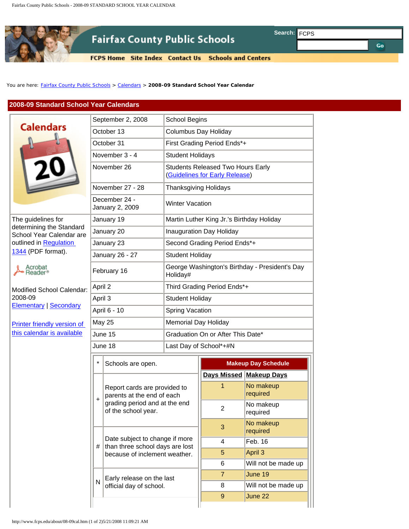

## **2008-09 Standard School Year Calendars**

|                                                                                                      |                               |                                                                                                                                                                                         | <b>FCPS Home</b> Site Index Contact Us                              |                                                            | <b>Schools and Centers</b> |                         |
|------------------------------------------------------------------------------------------------------|-------------------------------|-----------------------------------------------------------------------------------------------------------------------------------------------------------------------------------------|---------------------------------------------------------------------|------------------------------------------------------------|----------------------------|-------------------------|
|                                                                                                      |                               |                                                                                                                                                                                         |                                                                     |                                                            |                            |                         |
| ou are here: Fairfax County Public Schools > Calendars > 2008-09 Standard School Year Calendar       |                               |                                                                                                                                                                                         |                                                                     |                                                            |                            |                         |
| 2008-09 Standard School Year Calendars                                                               |                               |                                                                                                                                                                                         |                                                                     |                                                            |                            |                         |
|                                                                                                      |                               |                                                                                                                                                                                         |                                                                     |                                                            |                            |                         |
| <b>Calendars</b>                                                                                     | September 2, 2008             |                                                                                                                                                                                         | School Begins                                                       |                                                            |                            |                         |
|                                                                                                      | October 13                    |                                                                                                                                                                                         | <b>Columbus Day Holiday</b>                                         |                                                            |                            |                         |
|                                                                                                      | October 31                    |                                                                                                                                                                                         | First Grading Period Ends*+                                         |                                                            |                            |                         |
|                                                                                                      | November 3 - 4<br>November 26 |                                                                                                                                                                                         | <b>Student Holidays</b><br><b>Students Released Two Hours Early</b> |                                                            |                            |                         |
|                                                                                                      |                               |                                                                                                                                                                                         | (Guidelines for Early Release)                                      |                                                            |                            |                         |
|                                                                                                      | November 27 - 28              |                                                                                                                                                                                         | <b>Thanksgiving Holidays</b>                                        |                                                            |                            |                         |
|                                                                                                      |                               | December 24 -<br>January 2, 2009                                                                                                                                                        |                                                                     | <b>Winter Vacation</b>                                     |                            |                         |
| The guidelines for<br>determining the Standard<br>School Year Calendar are<br>outlined in Regulation |                               | January 19                                                                                                                                                                              |                                                                     | Martin Luther King Jr.'s Birthday Holiday                  |                            |                         |
|                                                                                                      |                               | January 20                                                                                                                                                                              |                                                                     | Inauguration Day Holiday                                   |                            |                         |
|                                                                                                      |                               | January 23                                                                                                                                                                              |                                                                     | Second Grading Period Ends*+                               |                            |                         |
| 1344 (PDF format).                                                                                   |                               | January 26 - 27                                                                                                                                                                         |                                                                     | <b>Student Holiday</b>                                     |                            |                         |
| ∖crobat                                                                                              |                               | February 16                                                                                                                                                                             |                                                                     | George Washington's Birthday - President's Day<br>Holiday# |                            |                         |
| Modified School Calendar:<br>2008-09<br><b>Elementary   Secondary</b>                                |                               | April 2                                                                                                                                                                                 |                                                                     | Third Grading Period Ends*+                                |                            |                         |
|                                                                                                      |                               | April 3                                                                                                                                                                                 |                                                                     | <b>Student Holiday</b>                                     |                            |                         |
|                                                                                                      |                               | April 6 - 10                                                                                                                                                                            |                                                                     | Spring Vacation                                            |                            |                         |
| Printer friendly version of<br>this calendar is available                                            | <b>May 25</b>                 |                                                                                                                                                                                         |                                                                     | <b>Memorial Day Holiday</b>                                |                            |                         |
|                                                                                                      |                               | June 15                                                                                                                                                                                 |                                                                     | Graduation On or After This Date*                          |                            |                         |
|                                                                                                      | June 18                       |                                                                                                                                                                                         | Last Day of School*+#N                                              |                                                            |                            |                         |
|                                                                                                      |                               | Schools are open.                                                                                                                                                                       |                                                                     | <b>Makeup Day Schedule</b>                                 |                            |                         |
|                                                                                                      |                               |                                                                                                                                                                                         |                                                                     |                                                            |                            | Days Missed Makeup Days |
|                                                                                                      | $\ddot{}$                     | Report cards are provided to<br>parents at the end of each<br>grading period and at the end<br>of the school year.<br>Date subject to change if more<br>than three school days are lost |                                                                     |                                                            | 1                          | No makeup<br>required   |
|                                                                                                      |                               |                                                                                                                                                                                         |                                                                     |                                                            | $\overline{2}$             | No makeup<br>required   |
|                                                                                                      |                               |                                                                                                                                                                                         |                                                                     |                                                            | 3                          | No makeup<br>required   |
|                                                                                                      | #                             |                                                                                                                                                                                         |                                                                     |                                                            | 4                          | Feb. 16                 |
|                                                                                                      |                               |                                                                                                                                                                                         | because of inclement weather.                                       |                                                            | 5                          | April 3                 |
|                                                                                                      |                               |                                                                                                                                                                                         |                                                                     | 6                                                          | Will not be made up        |                         |
|                                                                                                      | N                             |                                                                                                                                                                                         | Early release on the last                                           |                                                            | $\overline{7}$             | June 19                 |
|                                                                                                      | official day of school.       |                                                                                                                                                                                         |                                                                     |                                                            | 8                          | Will not be made up     |
|                                                                                                      |                               |                                                                                                                                                                                         |                                                                     |                                                            | $\boldsymbol{9}$           | June 22                 |